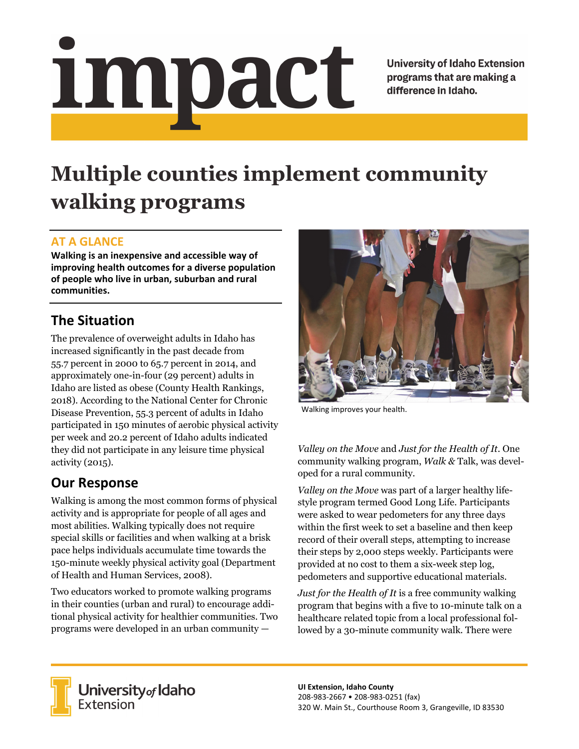# <u>impact</u>

**University of Idaho Extension** programs that are making a difference in Idaho.

# **Multiple counties implement community walking programs**

### **AT A GLANCE**

**Walking is an inexpensive and accessible way of improving health outcomes for a diverse population of people who live in urban, suburban and rural communities.** 

## **The Situation**

The prevalence of overweight adults in Idaho has increased significantly in the past decade from 55.7 percent in 2000 to 65.7 percent in 2014, and approximately one-in-four (29 percent) adults in Idaho are listed as obese (County Health Rankings, 2018). According to the National Center for Chronic Disease Prevention, 55.3 percent of adults in Idaho participated in 150 minutes of aerobic physical activity per week and 20.2 percent of Idaho adults indicated they did not participate in any leisure time physical activity (2015).

### **Our Response**

Walking is among the most common forms of physical activity and is appropriate for people of all ages and most abilities. Walking typically does not require special skills or facilities and when walking at a brisk pace helps individuals accumulate time towards the 150-minute weekly physical activity goal (Department of Health and Human Services, 2008).

Two educators worked to promote walking programs in their counties (urban and rural) to encourage additional physical activity for healthier communities. Two programs were developed in an urban community —



Walking improves your health.

*Valley on the Move* and *Just for the Health of It*. One community walking program, *Walk &* Talk, was developed for a rural community.

*Valley on the Move* was part of a larger healthy lifestyle program termed Good Long Life. Participants were asked to wear pedometers for any three days within the first week to set a baseline and then keep record of their overall steps, attempting to increase their steps by 2,000 steps weekly. Participants were provided at no cost to them a six-week step log, pedometers and supportive educational materials.

*Just for the Health of It* is a free community walking program that begins with a five to 10-minute talk on a healthcare related topic from a local professional followed by a 30-minute community walk. There were



**University** of Idaho<br>Extension